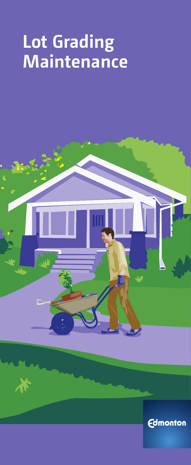# **Lot Grading Maintenance**



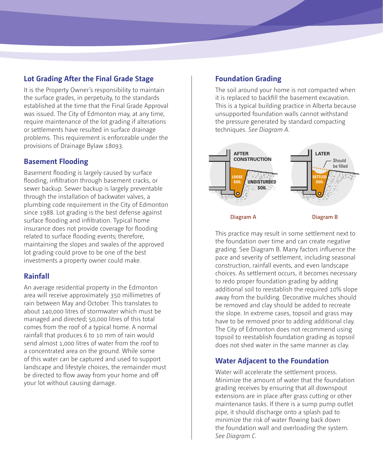# **Lot Grading After the Final Grade Stage**

It is the Property Owner's responsibility to maintain the surface grades, in perpetuity, to the standards established at the time that the Final Grade Approval was issued. The City of Edmonton may, at any time, require maintenance of the lot grading if alterations or settlements have resulted in surface drainage problems. This requirement is enforceable under the provisions of Drainage Bylaw 18093.

## **Basement Flooding**

Basement flooding is largely caused by surface flooding, infiltration through basement cracks, or sewer backup. Sewer backup is largely preventable through the installation of backwater valves, a plumbing code requirement in the City of Edmonton since 1988. Lot grading is the best defense against surface flooding and infiltration. Typical home insurance does not provide coverage for flooding related to surface flooding events; therefore, maintaining the slopes and swales of the approved lot grading could prove to be one of the best investments a property owner could make.

## **Rainfall**

An average residential property in the Edmonton area will receive approximately 350 millimetres of rain between May and October. This translates to about 140,000 litres of stormwater which must be managed and directed; 50,000 litres of this total comes from the roof of a typical home. A normal rainfall that produces 6 to 10 mm of rain would send almost 1,000 litres of water from the roof to a concentrated area on the ground. While some of this water can be captured and used to support landscape and lifestyle choices, the remainder must be directed to flow away from your home and off your lot without causing damage.

# **Foundation Grading**

The soil around your home is not compacted when it is replaced to backfill the basement excavation. This is a typical building practice in Alberta because unsupported foundation walls cannot withstand the pressure generated by standard compacting techniques. *See Diagram A.* 



This practice may result in some settlement next to the foundation over time and can create negative grading. See Diagram B. Many factors influence the pace and severity of settlement, including seasonal construction, rainfall events, and even landscape choices. As settlement occurs, it becomes necessary to redo proper foundation grading by adding additional soil to reestablish the required 10% slope away from the building. Decorative mulches should be removed and clay should be added to recreate the slope. In extreme cases, topsoil and grass may have to be removed prior to adding additional clay. The City of Edmonton does not recommend using topsoil to reestablish foundation grading as topsoil does not shed water in the same manner as clay.

## **Water Adjacent to the Foundation**

Water will accelerate the settlement process. Minimize the amount of water that the foundation grading receives by ensuring that all downspout extensions are in place after grass cutting or other maintenance tasks. If there is a sump pump outlet pipe, it should discharge onto a splash pad to minimize the risk of water flowing back down the foundation wall and overloading the system. *See Diagram C*.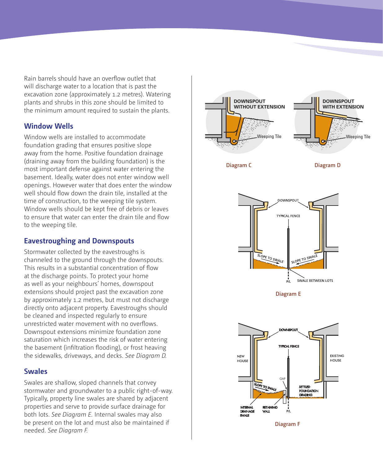Rain barrels should have an overflow outlet that will discharge water to a location that is past the excavation zone (approximately 1.2 metres). Watering plants and shrubs in this zone should be limited to the minimum amount required to sustain the plants.

## **Window Wells**

Window wells are installed to accommodate foundation grading that ensures positive slope away from the home. Positive foundation drainage (draining away from the building foundation) is the most important defense against water entering the basement. Ideally, water does not enter window well openings. However water that does enter the window well should flow down the drain tile, installed at the time of construction, to the weeping tile system. Window wells should be kept free of debris or leaves to ensure that water can enter the drain tile and flow to the weeping tile.

#### **Eavestroughing and Downspouts**

Stormwater collected by the eavestroughs is channeled to the ground through the downspouts. This results in a substantial concentration of flow at the discharge points. To protect your home as well as your neighbours' homes, downspout extensions should project past the excavation zone by approximately 1.2 metres, but must not discharge directly onto adjacent property. Eavestroughs should be cleaned and inspected regularly to ensure unrestricted water movement with no overflows. Downspout extensions minimize foundation zone saturation which increases the risk of water entering the basement (infiltration flooding), or frost heaving the sidewalks, driveways, and decks. *See Diagram D.*

#### **Swales**

Swales are shallow, sloped channels that convey stormwater and groundwater to a public right-of-way. Typically, property line swales are shared by adjacent properties and serve to provide surface drainage for both lots. *See Diagram E.* Internal swales may also be present on the lot and must also be maintained if needed. *See Diagram F.*

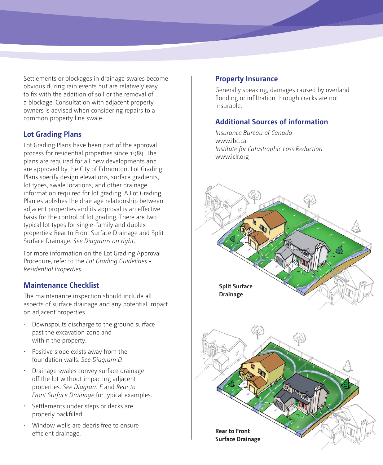Settlements or blockages in drainage swales become obvious during rain events but are relatively easy to fix with the addition of soil or the removal of a blockage. Consultation with adjacent property owners is advised when considering repairs to a common property line swale.

## **Lot Grading Plans**

Lot Grading Plans have been part of the approval process for residential properties since 1989. The plans are required for all new developments and are approved by the City of Edmonton. Lot Grading Plans specify design elevations, surface gradients, lot types, swale locations, and other drainage information required for lot grading. A Lot Grading Plan establishes the drainage relationship between adjacent properties and its approval is an effective basis for the control of lot grading. There are two typical lot types for single-family and duplex properties: Rear to Front Surface Drainage and Split Surface Drainage. *See Diagrams on right.*

For more information on the Lot Grading Approval Procedure, refer to the *[Lot Grading Guidelines -](file:///Volumes/Data%20HD/Current%20Projects/city%20lot%20grading%202011/Lot Grading Guidelines - Residential Properties)  [Residential Properties.](file:///Volumes/Data%20HD/Current%20Projects/city%20lot%20grading%202011/Lot Grading Guidelines - Residential Properties)*

## **Maintenance Checklist**

The maintenance inspection should include all aspects of surface drainage and any potential impact on adjacent properties.

- • Downspouts discharge to the ground surface past the excavation zone and within the property.
- • Positive slope exists away from the foundation walls. *See Diagram D.*
- • Drainage swales convey surface drainage off the lot without impacting adjacent properties. *See Diagram F* and *Rear to Front Surface Drainage* for typical examples.
- • Settlements under steps or decks are properly backfilled.
- • Window wells are debris free to ensure efficient drainage. **Rear to Front Rear to Front**

#### **Property Insurance**

Generally speaking, damages caused by overland flooding or infiltration through cracks are not insurable.

## **Additional Sources of information**

*[Insurance Bureau of Canada](http://www.ibc.ca/en/home_insurance/documents/brochures/water_damage_on_rise_en_web.pdf)* [www.ibc.ca](http://www.ibc.ca) *[Institute for Catastrophic Loss Reduction](http://iclr.org/images/Public_sector_digest.pdf)*  [www.iclr.org](http://www.iclr.org)